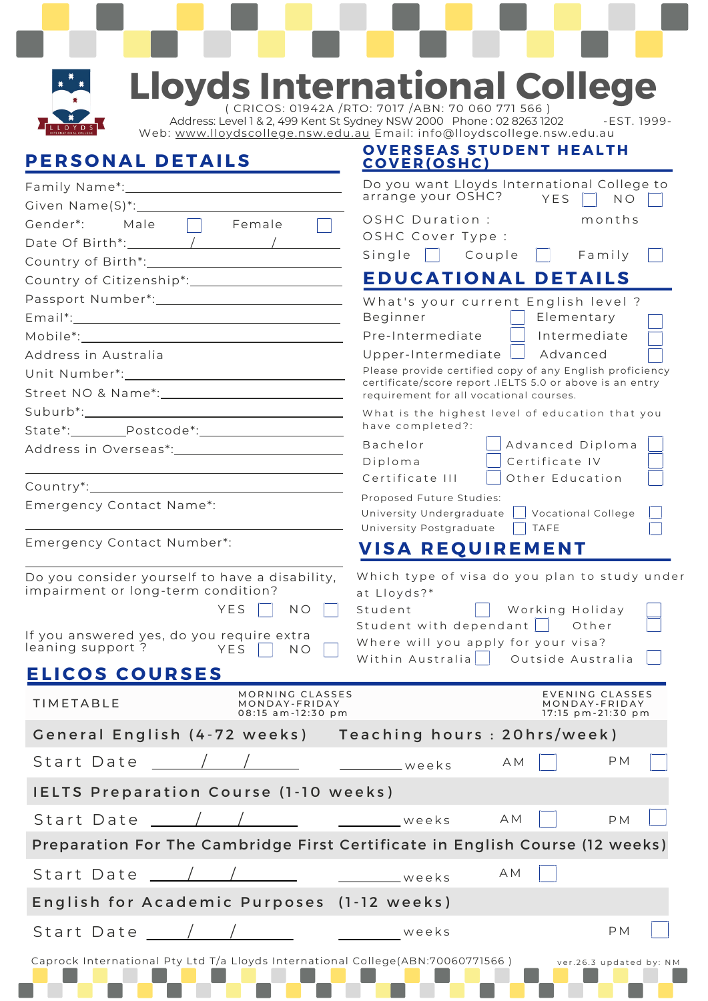

# **Lloyds International College**

( CRICOS: 01942A /RTO: 7017 /ABN: 70 060 771 566 ) Address: Level 1 & 2, 499 Kent St Sydney NSW 2000 Phone : 02 8263 1202 - EST. 1999-Web: [www.lloydscollege.nsw.edu.au](http://www.lloydscollege.nsw.edu.au/) Email: info@lloydscollege.nsw.edu.au

**O V E R SE A S ST U D E N T H E A L T H**

### **PE R S O N A L D ET A I LS**

| PERSONAL DETAILS                                                                                                                             | <u>COVER(OSHC)</u>                                                                                                                                            |  |  |  |
|----------------------------------------------------------------------------------------------------------------------------------------------|---------------------------------------------------------------------------------------------------------------------------------------------------------------|--|--|--|
|                                                                                                                                              | Do you want Lloyds International College to<br>arrange your OSHC?<br>YES<br>$N$ O                                                                             |  |  |  |
| Male <b>Female</b><br>Gender*:                                                                                                               | OSHC Duration :<br>months                                                                                                                                     |  |  |  |
|                                                                                                                                              | OSHC Cover Type :                                                                                                                                             |  |  |  |
|                                                                                                                                              | Single   Couple<br>$\vert \vert$ Family                                                                                                                       |  |  |  |
|                                                                                                                                              | <b>EDUCATIONAL DETAILS</b>                                                                                                                                    |  |  |  |
| Passport Number*: 1997                                                                                                                       | What's your current English level ?                                                                                                                           |  |  |  |
|                                                                                                                                              | Elementary<br>Beginner<br>Pre-Intermediate<br>Intermediate                                                                                                    |  |  |  |
|                                                                                                                                              |                                                                                                                                                               |  |  |  |
| Address in Australia                                                                                                                         | Upper-Intermediate $\Box$ Advanced<br>Please provide certified copy of any English proficiency                                                                |  |  |  |
|                                                                                                                                              | certificate/score report .IELTS 5.0 or above is an entry                                                                                                      |  |  |  |
|                                                                                                                                              | requirement for all vocational courses.                                                                                                                       |  |  |  |
|                                                                                                                                              | What is the highest level of education that you<br>have completed?:                                                                                           |  |  |  |
|                                                                                                                                              | Advanced Diploma<br>Bachelor                                                                                                                                  |  |  |  |
|                                                                                                                                              | Certificate IV<br>Diploma                                                                                                                                     |  |  |  |
|                                                                                                                                              | Certificate III<br>Other Education                                                                                                                            |  |  |  |
| Emergency Contact Name*:                                                                                                                     | Proposed Future Studies:                                                                                                                                      |  |  |  |
|                                                                                                                                              | Vocational College<br>University Undergraduate<br>University Postgraduate<br><b>TAFE</b>                                                                      |  |  |  |
| Emergency Contact Number*:                                                                                                                   | <b>VISA REQUIREMENT</b>                                                                                                                                       |  |  |  |
| impairment or long-term condition?<br>YES<br>N <sub>O</sub><br>If you answered yes, do you require extra<br>leaning support?<br>YES<br>$N$ O | at Lloyds?*<br>Student   Working Holiday<br>Student with dependant     Other<br>Where will you apply for your visa?<br>Within Australia     Outside Australia |  |  |  |
| <b>ELICOS COURSES</b>                                                                                                                        |                                                                                                                                                               |  |  |  |
| MORNING CLASSES<br><b>TIMETABLE</b><br>MONDAY-FRIDAY<br>08:15 am-12:30 pm                                                                    | EVENING CLASSES<br>MONDAY-FRIDAY<br>17:15 pm-21:30 pm                                                                                                         |  |  |  |
| General English (4-72 weeks) Teaching hours: 20hrs/week)                                                                                     |                                                                                                                                                               |  |  |  |
| Start Date / /                                                                                                                               | P M<br>A M<br>__________weeks                                                                                                                                 |  |  |  |
| <b>IELTS Preparation Course (1-10 weeks)</b>                                                                                                 |                                                                                                                                                               |  |  |  |
| Start Date / /                                                                                                                               | A M<br><b>PM</b><br>weeks                                                                                                                                     |  |  |  |
|                                                                                                                                              | Preparation For The Cambridge First Certificate in English Course (12 weeks)                                                                                  |  |  |  |
|                                                                                                                                              | A M                                                                                                                                                           |  |  |  |
| English for Academic Purposes (1-12 weeks)                                                                                                   |                                                                                                                                                               |  |  |  |
| Start Date _____/ ___/ _________ _________ weeks                                                                                             | <b>PM</b>                                                                                                                                                     |  |  |  |
| Caprock International Pty Ltd T/a Lloyds International College(ABN:70060771566)                                                              | ver.26.3 updated by: NM                                                                                                                                       |  |  |  |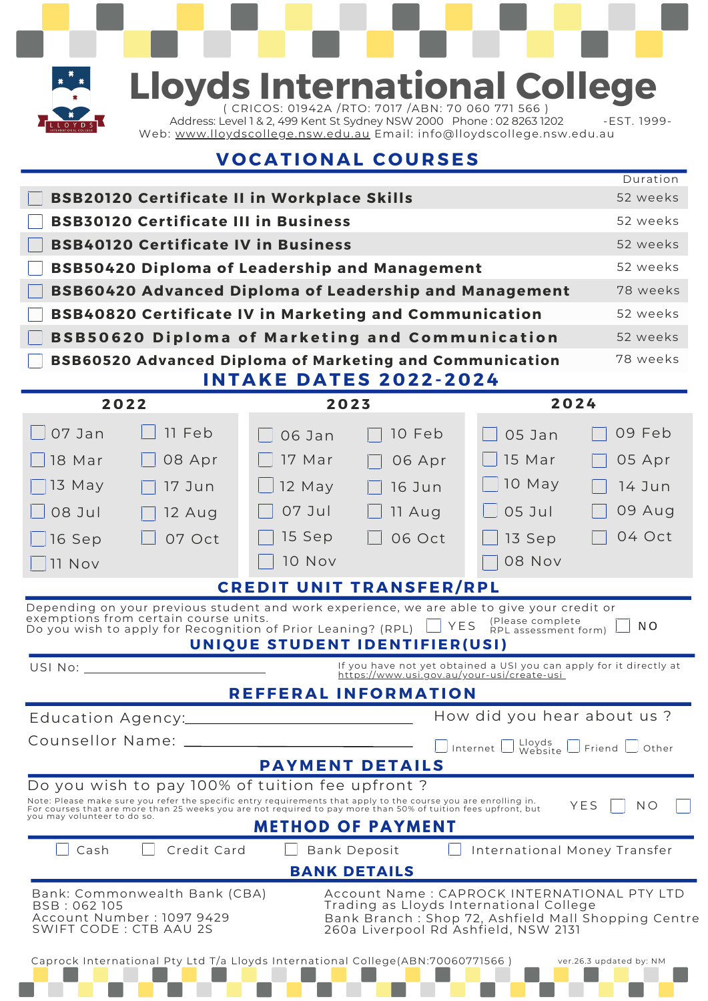

## **Lloyds International College**

( CRICOS: 01942A /RTO: 7017 /ABN: 70 060 771 566 ) Address: Level 1 & 2, 499 Kent St Sydney NSW 2000 Phone : 02 8263 1202 - EST. 1999Web: <u>[www.lloydscollege.nsw.edu.au](http://www.lloydscollege.nsw.edu.au/)</u> Email: info@lloydscollege.nsw.edu.au

## **V O C A T I O N A L C O U R SES**

|                                                                                                                                                                                                                                                                                                  |                                                                                                                                                                                                                                   |               |                                                                                                                   |                                          | Duration                |  |
|--------------------------------------------------------------------------------------------------------------------------------------------------------------------------------------------------------------------------------------------------------------------------------------------------|-----------------------------------------------------------------------------------------------------------------------------------------------------------------------------------------------------------------------------------|---------------|-------------------------------------------------------------------------------------------------------------------|------------------------------------------|-------------------------|--|
| <b>BSB20120 Certificate II in Workplace Skills</b><br>52 weeks                                                                                                                                                                                                                                   |                                                                                                                                                                                                                                   |               |                                                                                                                   |                                          |                         |  |
| <b>BSB30120 Certificate III in Business</b>                                                                                                                                                                                                                                                      |                                                                                                                                                                                                                                   |               |                                                                                                                   |                                          | 52 weeks                |  |
| <b>BSB40120 Certificate IV in Business</b>                                                                                                                                                                                                                                                       |                                                                                                                                                                                                                                   |               |                                                                                                                   |                                          | 52 weeks                |  |
| <b>BSB50420 Diploma of Leadership and Management</b>                                                                                                                                                                                                                                             |                                                                                                                                                                                                                                   |               |                                                                                                                   |                                          | 52 weeks                |  |
|                                                                                                                                                                                                                                                                                                  | 78 weeks<br><b>BSB60420 Advanced Diploma of Leadership and Management</b>                                                                                                                                                         |               |                                                                                                                   |                                          |                         |  |
| <b>BSB40820 Certificate IV in Marketing and Communication</b>                                                                                                                                                                                                                                    |                                                                                                                                                                                                                                   |               |                                                                                                                   |                                          | 52 weeks                |  |
| <b>BSB50620 Diploma of Marketing and Communication</b>                                                                                                                                                                                                                                           |                                                                                                                                                                                                                                   |               |                                                                                                                   |                                          | 52 weeks                |  |
| 78 weeks<br><b>BSB60520 Advanced Diploma of Marketing and Communication</b>                                                                                                                                                                                                                      |                                                                                                                                                                                                                                   |               |                                                                                                                   |                                          |                         |  |
| <b>INTAKE DATES 2022-2024</b>                                                                                                                                                                                                                                                                    |                                                                                                                                                                                                                                   |               |                                                                                                                   |                                          |                         |  |
|                                                                                                                                                                                                                                                                                                  | 2022                                                                                                                                                                                                                              | 2023          |                                                                                                                   | 2024                                     |                         |  |
| 07 Jan                                                                                                                                                                                                                                                                                           | 11 Feb                                                                                                                                                                                                                            | 06 Jan        | 10 Feb                                                                                                            | 05 Jan                                   | 09 Feb                  |  |
| 18 Mar                                                                                                                                                                                                                                                                                           | 08 Apr                                                                                                                                                                                                                            | 17 Mar        | 06 Apr                                                                                                            | 15 Mar                                   | 05 Apr                  |  |
| 13 May                                                                                                                                                                                                                                                                                           | 17 Jun                                                                                                                                                                                                                            | $12$ May      | 16 Jun                                                                                                            | 10 May                                   | 14 Jun                  |  |
| 08 Jul                                                                                                                                                                                                                                                                                           | 12 Aug                                                                                                                                                                                                                            | 07 Jul        | 11 Aug                                                                                                            | $05$ Jul                                 | 09 Aug                  |  |
| 16 Sep                                                                                                                                                                                                                                                                                           | 07 Oct                                                                                                                                                                                                                            | 15 Sep        | 06 Oct                                                                                                            | 13 Sep                                   | 04 Oct                  |  |
| 11 Nov                                                                                                                                                                                                                                                                                           |                                                                                                                                                                                                                                   | <b>10 Nov</b> |                                                                                                                   | <b>08 Nov</b>                            |                         |  |
|                                                                                                                                                                                                                                                                                                  |                                                                                                                                                                                                                                   |               | <b>CREDIT UNIT TRANSFER/RPL</b>                                                                                   |                                          |                         |  |
|                                                                                                                                                                                                                                                                                                  | Depending on your previous student and work experience, we are able to give your credit or<br>exemptions from certain course units.<br>Do you wish to apply for Recognition of Prior Leaning? (RPL)                               |               | YES<br>UNIQUE STUDENT IDENTIFIER(USI)                                                                             | (Please complete<br>RPL assessment form) | N <sub>O</sub>          |  |
| USI No:                                                                                                                                                                                                                                                                                          |                                                                                                                                                                                                                                   |               | If you have not yet obtained a USI you can apply for it directly at<br>https://www.usi.gov.au/your-usi/create-usi |                                          |                         |  |
|                                                                                                                                                                                                                                                                                                  |                                                                                                                                                                                                                                   |               | <b>REFFERAL INFORMATION</b>                                                                                       |                                          |                         |  |
|                                                                                                                                                                                                                                                                                                  |                                                                                                                                                                                                                                   |               | How did you hear about us?                                                                                        |                                          |                         |  |
| Counsellor Name: _____<br>$\Box$ Internet $\Box$ Website $\Box$ Friend $\Box$ Other                                                                                                                                                                                                              |                                                                                                                                                                                                                                   |               |                                                                                                                   |                                          |                         |  |
| <b>PAYMENT DETAILS</b>                                                                                                                                                                                                                                                                           |                                                                                                                                                                                                                                   |               |                                                                                                                   |                                          |                         |  |
|                                                                                                                                                                                                                                                                                                  | Do you wish to pay 100% of tuition fee upfront?                                                                                                                                                                                   |               |                                                                                                                   |                                          |                         |  |
| you may volunteer to do so.                                                                                                                                                                                                                                                                      | Note: Please make sure you refer the specific entry requirements that apply to the course you are enrolling in.<br>For courses that are more than 25 weeks you are not required to pay more than 50% of tuition fees upfront, but |               |                                                                                                                   |                                          | YES<br>N O              |  |
|                                                                                                                                                                                                                                                                                                  |                                                                                                                                                                                                                                   |               | <b>METHOD OF PAYMENT</b>                                                                                          |                                          |                         |  |
| Cash                                                                                                                                                                                                                                                                                             | Credit Card                                                                                                                                                                                                                       |               | <b>Bank Deposit</b>                                                                                               | International Money Transfer             |                         |  |
|                                                                                                                                                                                                                                                                                                  |                                                                                                                                                                                                                                   |               | <b>BANK DETAILS</b>                                                                                               |                                          |                         |  |
| Account Name: CAPROCK INTERNATIONAL PTY LTD<br>Bank: Commonwealth Bank (CBA)<br>Trading as Lloyds International College<br>BSB: 062 105<br>Account Number : 1097 9429<br>Bank Branch : Shop 72, Ashfield Mall Shopping Centre<br>SWIFT CODE : CTB AAU 2S<br>260a Liverpool Rd Ashfield, NSW 2131 |                                                                                                                                                                                                                                   |               |                                                                                                                   |                                          |                         |  |
|                                                                                                                                                                                                                                                                                                  | Caprock International Pty Ltd T/a Lloyds International College(ABN:70060771566)                                                                                                                                                   |               |                                                                                                                   |                                          | ver.26.3 updated by: NM |  |